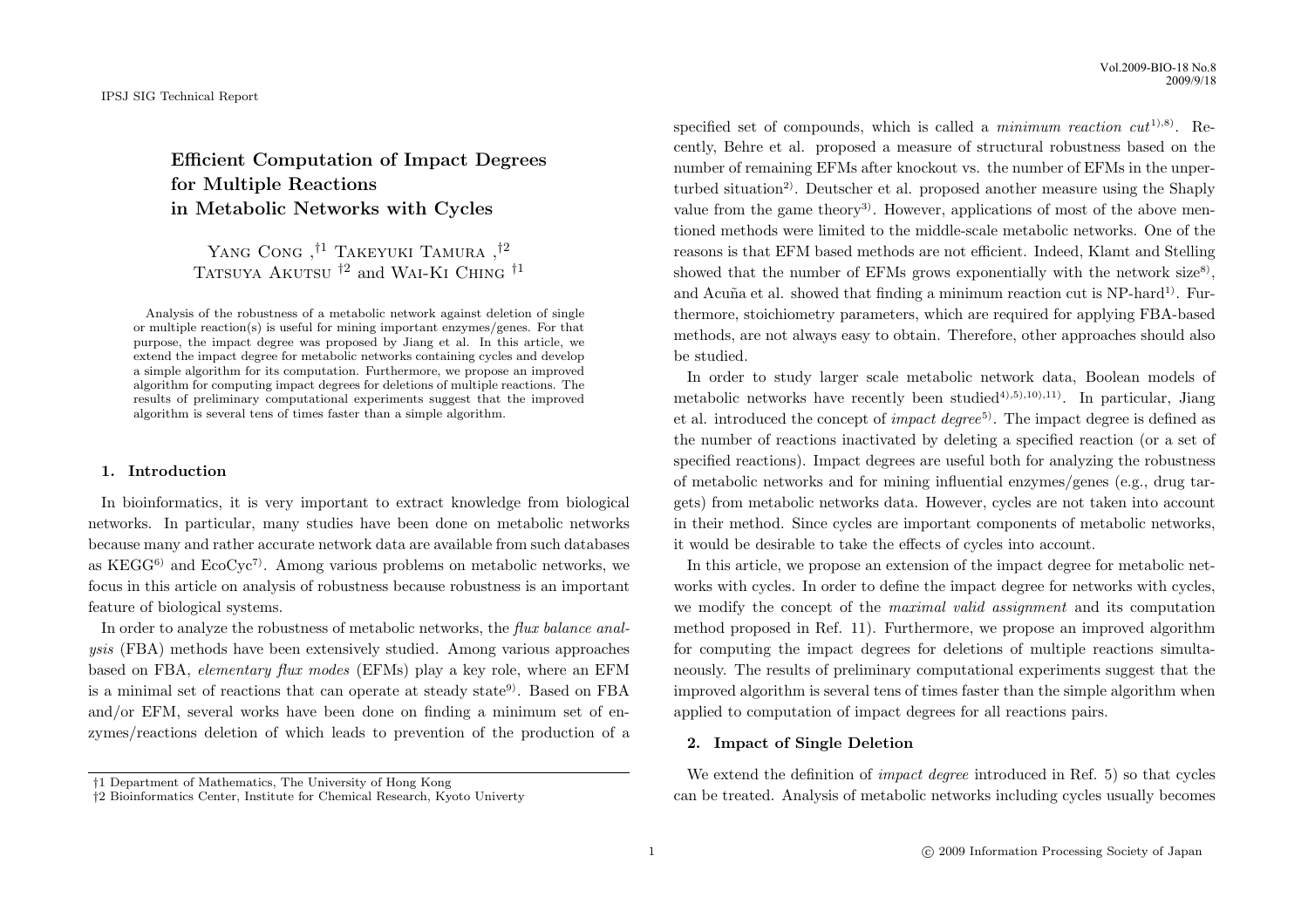Efficient Computation of Impact Degrees for Multiple Reactions in Metabolic Networks with Cycles

YANG CONG, <sup>†1</sup> TAKEYUKI TAMURA, <sup>†2</sup> TATSUYA AKUTSU  $^{\dagger2}$  and WAI-KI CHING  $^{\dagger1}$ 

Analysis of the robustness of a metabolic network against deletion of single or multiple reaction(s) is useful for mining important enzymes/genes. For that purpose, the impact degree was proposed by Jiang et al. In this article, we extend the impact degree for metabolic networks containing cycles and develop a simple algorithm for its computation. Furthermore, we propose an improved algorithm for computing impact degrees for deletions of multiple reactions. The results of preliminary computational experiments suggest that the improved algorithm is several tens of times faster than a simple algorithm.

# 1. Introduction

In bioinformatics, it is very important to extract knowledge from biological networks. In particular, many studies have been done on metabolic networks because many and rather accurate network data are available from such databases as KEGG<sup>6)</sup> and EcoCyc<sup>7</sup>. Among various problems on metabolic networks, we focus in this article on analysis of robustness because robustness is an important feature of biological systems.

In order to analyze the robustness of metabolic networks, the *flux balance anal*ysis (FBA) methods have been extensively studied. Among various approaches based on FBA, elementary flux modes (EFMs) play a key role, where an EFM is a minimal set of reactions that can operate at steady state<sup>9)</sup>. Based on FBA and/or EFM, several works have been done on finding a minimum set of enzymes/reactions deletion of which leads to prevention of the production of a specified set of compounds, which is called a *minimum reaction cut*<sup>1),8)</sup>. Recently, Behre et al. proposed a measure of structural robustness based on the number of remaining EFMs after knockout vs. the number of EFMs in the unperturbed situation<sup>2)</sup>. Deutscher et al. proposed another measure using the Shaply value from the game theory<sup>3)</sup>. However, applications of most of the above mentioned methods were limited to the middle-scale metabolic networks. One of the reasons is that EFM based methods are not efficient. Indeed, Klamt and Stelling showed that the number of EFMs grows exponentially with the network  $size^8$ , and Acuña et al. showed that finding a minimum reaction cut is  $NP$ -hard<sup>1)</sup>. Furthermore, stoichiometry parameters, which are required for applying FBA-based methods, are not always easy to obtain. Therefore, other approaches should also be studied.

In order to study larger scale metabolic network data, Boolean models of metabolic networks have recently been studied<sup>4),5),10),11</sup>. In particular, Jiang et al. introduced the concept of *impact degree*<sup>5)</sup>. The impact degree is defined as the number of reactions inactivated by deleting a specified reaction (or a set of specified reactions). Impact degrees are useful both for analyzing the robustness of metabolic networks and for mining influential enzymes/genes (e.g., drug targets) from metabolic networks data. However, cycles are not taken into account in their method. Since cycles are important components of metabolic networks, it would be desirable to take the effects of cycles into account.

In this article, we propose an extension of the impact degree for metabolic networks with cycles. In order to define the impact degree for networks with cycles, we modify the concept of the maximal valid assignment and its computation method proposed in Ref. 11). Furthermore, we propose an improved algorithm for computing the impact degrees for deletions of multiple reactions simultaneously. The results of preliminary computational experiments suggest that the improved algorithm is several tens of times faster than the simple algorithm when applied to computation of impact degrees for all reactions pairs.

# 2. Impact of Single Deletion

We extend the definition of impact degree introduced in Ref. 5) so that cycles can be treated. Analysis of metabolic networks including cycles usually becomes

<sup>†</sup>1 Department of Mathematics, The University of Hong Kong

<sup>†</sup>2 Bioinformatics Center, Institute for Chemical Research, Kyoto Univerty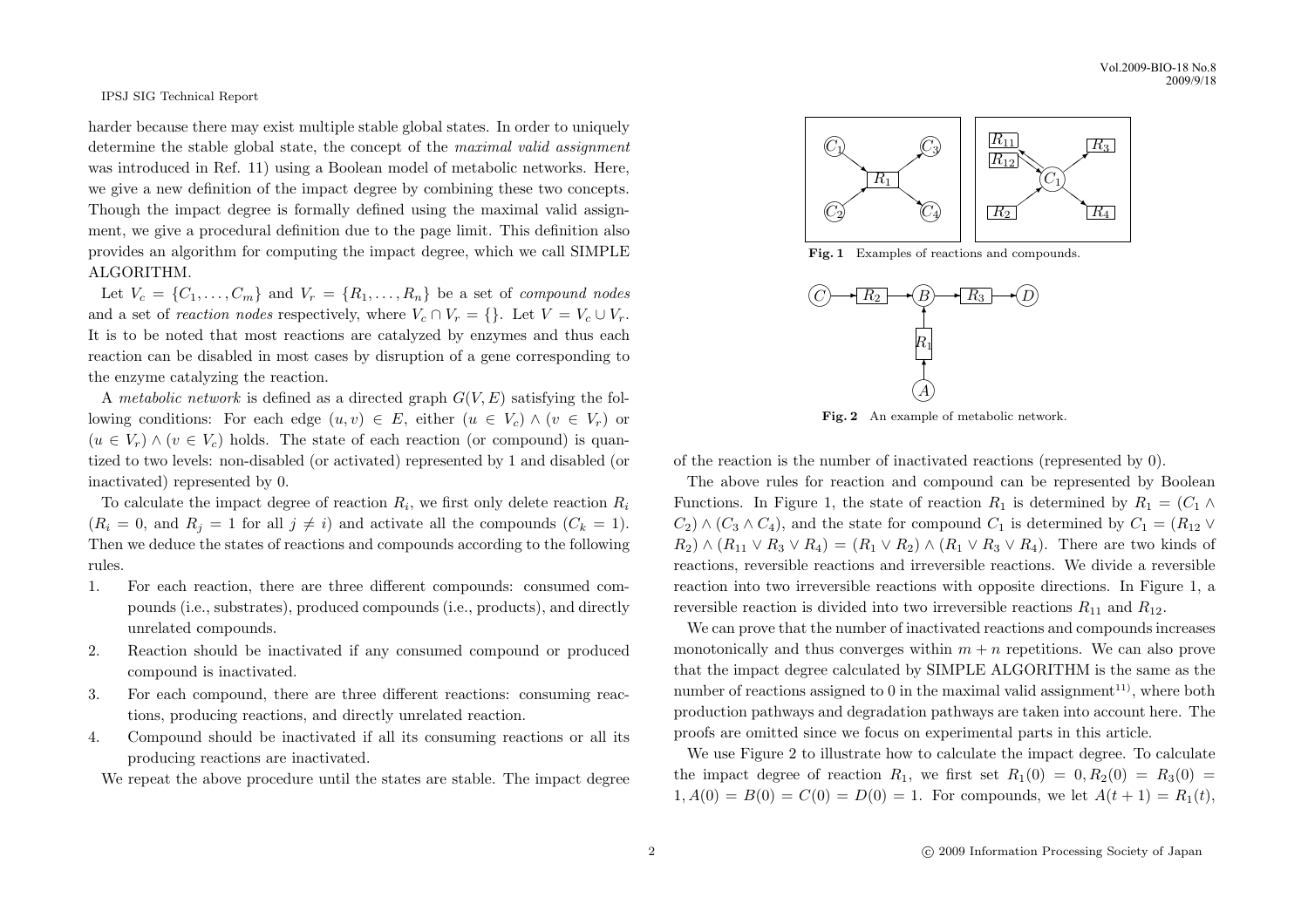harder because there may exist multiple stable global states. In order to uniquely determine the stable global state, the concept of the maximal valid assignment was introduced in Ref. 11) using a Boolean model of metabolic networks. Here, we give a new definition of the impact degree by combining these two concepts. Though the impact degree is formally defined using the maximal valid assignment, we give a procedural definition due to the page limit. This definition also provides an algorithm for computing the impact degree, which we call SIMPLE ALGORITHM.

Let  $V_c = \{C_1, \ldots, C_m\}$  and  $V_r = \{R_1, \ldots, R_n\}$  be a set of compound nodes and a set of reaction nodes respectively, where  $V_c \cap V_r = \{\}.$  Let  $V = V_c \cup V_r$ . It is to be noted that most reactions are catalyzed by enzymes and thus each reaction can be disabled in most cases by disruption of a gene corresponding to the enzyme catalyzing the reaction.

A metabolic network is defined as a directed graph  $G(V, E)$  satisfying the following conditions: For each edge  $(u, v) \in E$ , either  $(u \in V_c) \wedge (v \in V_r)$  or  $(u \in V_r) \wedge (v \in V_c)$  holds. The state of each reaction (or compound) is quantized to two levels: non-disabled (or activated) represented by 1 and disabled (or inactivated) represented by 0.

To calculate the impact degree of reaction  $R_i$ , we first only delete reaction  $R_i$  $(R_i = 0, \text{ and } R_j = 1 \text{ for all } j \neq i)$  and activate all the compounds  $(C_k = 1)$ . Then we deduce the states of reactions and compounds according to the following rules.

- 1. For each reaction, there are three different compounds: consumed compounds (i.e., substrates), produced compounds (i.e., products), and directly unrelated compounds.
- 2. Reaction should be inactivated if any consumed compound or produced compound is inactivated.
- 3. For each compound, there are three different reactions: consuming reactions, producing reactions, and directly unrelated reaction.
- 4. Compound should be inactivated if all its consuming reactions or all its producing reactions are inactivated.

We repeat the above procedure until the states are stable. The impact degree



Fig. 1 Examples of reactions and compounds.



Fig. 2 An example of metabolic network.

of the reaction is the number of inactivated reactions (represented by 0).

The above rules for reaction and compound can be represented by Boolean Functions. In Figure 1, the state of reaction  $R_1$  is determined by  $R_1 = (C_1 \wedge$  $C_2$ ) ∧ ( $C_3 \wedge C_4$ ), and the state for compound  $C_1$  is determined by  $C_1 = (R_{12} \vee R_{12})$  $R_2$ )  $\wedge$   $(R_{11} \vee R_3 \vee R_4) = (R_1 \vee R_2) \wedge (R_1 \vee R_3 \vee R_4)$ . There are two kinds of reactions, reversible reactions and irreversible reactions. We divide a reversible reaction into two irreversible reactions with opposite directions. In Figure 1, a reversible reaction is divided into two irreversible reactions  $R_{11}$  and  $R_{12}$ .

We can prove that the number of inactivated reactions and compounds increases monotonically and thus converges within  $m + n$  repetitions. We can also prove that the impact degree calculated by SIMPLE ALGORITHM is the same as the number of reactions assigned to 0 in the maximal valid assignment<sup>11)</sup>, where both production pathways and degradation pathways are taken into account here. The proofs are omitted since we focus on experimental parts in this article.

We use Figure 2 to illustrate how to calculate the impact degree. To calculate the impact degree of reaction  $R_1$ , we first set  $R_1(0) = 0, R_2(0) = R_3(0) =$  $1, A(0) = B(0) = C(0) = D(0) = 1$ . For compounds, we let  $A(t + 1) = R_1(t)$ ,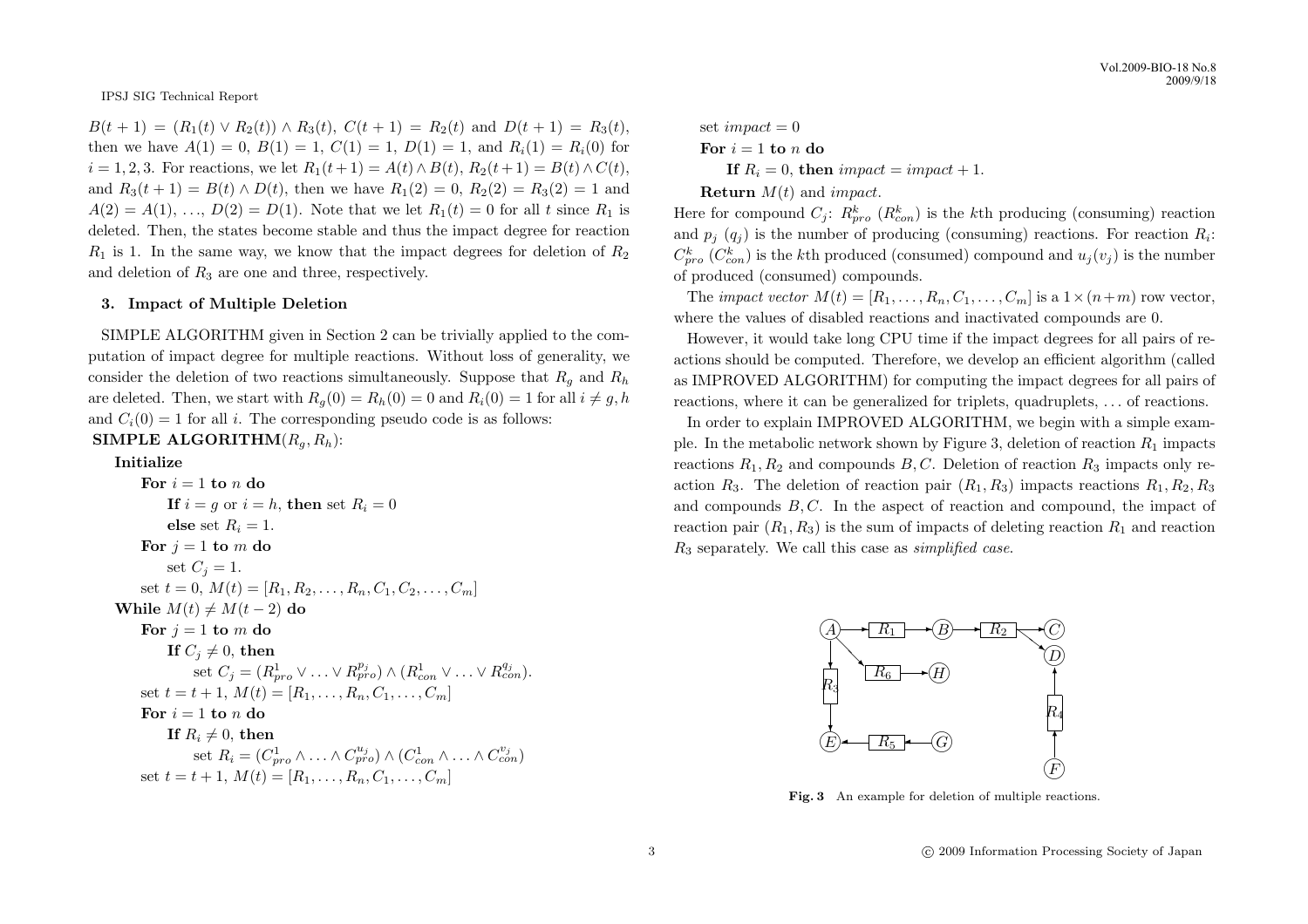$B(t + 1) = (R_1(t) \vee R_2(t)) \wedge R_3(t), C(t + 1) = R_2(t)$  and  $D(t + 1) = R_3(t)$ . then we have  $A(1) = 0$ ,  $B(1) = 1$ ,  $C(1) = 1$ ,  $D(1) = 1$ , and  $R_i(1) = R_i(0)$  for  $i = 1, 2, 3$ . For reactions, we let  $R_1(t + 1) = A(t) \wedge B(t), R_2(t + 1) = B(t) \wedge C(t)$ . and  $R_3(t+1) = B(t) \wedge D(t)$ , then we have  $R_1(2) = 0$ ,  $R_2(2) = R_3(2) = 1$  and  $A(2) = A(1), \ldots, D(2) = D(1)$ . Note that we let  $R_1(t) = 0$  for all t since  $R_1$  is deleted. Then, the states become stable and thus the impact degree for reaction  $R_1$  is 1. In the same way, we know that the impact degrees for deletion of  $R_2$ and deletion of  $R_3$  are one and three, respectively.

# 3. Impact of Multiple Deletion

SIMPLE ALGORITHM given in Section 2 can be trivially applied to the computation of impact degree for multiple reactions. Without loss of generality, we consider the deletion of two reactions simultaneously. Suppose that  $R_q$  and  $R_h$ are deleted. Then, we start with  $R_q(0) = R_h(0) = 0$  and  $R_i(0) = 1$  for all  $i \neq g, h$ and  $C_i(0) = 1$  for all i. The corresponding pseudo code is as follows:

# SIMPLE ALGORITHM $(R_a, R_h)$ :

# Initialize

For  $i = 1$  to n do If  $i = q$  or  $i = h$ , then set  $R_i = 0$ else set  $R_i = 1$ . For  $j = 1$  to m do set  $C_i = 1$ . set  $t = 0, M(t) = [R_1, R_2, \ldots, R_n, C_1, C_2, \ldots, C_m]$ While  $M(t) \neq M(t - 2)$  do For  $j = 1$  to m do If  $C_i \neq 0$ , then set  $C_j = (R_{pro}^1 \vee \ldots \vee R_{pro}^{p_j}) \wedge (R_{con}^1 \vee \ldots \vee R_{con}^{q_j}).$ set  $t = t + 1, M(t) = [R_1, \ldots, R_n, C_1, \ldots, C_m]$ For  $i = 1$  to n do If  $R_i \neq 0$ , then set  $R_i = (C_{pro}^1 \land ... \land C_{pro}^{u_j}) \land (C_{con}^1 \land ... \land C_{con}^{v_j})$ set  $t = t + 1$ ,  $M(t) = [R_1, \ldots, R_n, C_1, \ldots, C_m]$ 

set 
$$
impact = 0
$$
  
For  $i = 1$  to n do  
If  $R_i = 0$ , then  $impact = impact + 1$ .  
Return  $M(t)$  and  $impact$ .

Here for compound  $C_j$ :  $R_{pro}^k$  ( $R_{con}^k$ ) is the kth producing (consuming) reaction and  $p_j$  ( $q_j$ ) is the number of producing (consuming) reactions. For reaction  $R_i$ :  $C_{pro}^{k}$  ( $C_{con}^{k}$ ) is the kth produced (consumed) compound and  $u_j(v_j)$  is the number of produced (consumed) compounds.

The *impact vector*  $M(t) = [R_1, \ldots, R_n, C_1, \ldots, C_m]$  is a  $1 \times (n+m)$  row vector, where the values of disabled reactions and inactivated compounds are 0.

However, it would take long CPU time if the impact degrees for all pairs of reactions should be computed. Therefore, we develop an efficient algorithm (called as IMPROVED ALGORITHM) for computing the impact degrees for all pairs of reactions, where it can be generalized for triplets, quadruplets, . . . of reactions.

In order to explain IMPROVED ALGORITHM, we begin with a simple example. In the metabolic network shown by Figure 3, deletion of reaction  $R_1$  impacts reactions  $R_1, R_2$  and compounds B, C. Deletion of reaction  $R_3$  impacts only reaction  $R_3$ . The deletion of reaction pair  $(R_1, R_3)$  impacts reactions  $R_1, R_2, R_3$ and compounds  $B, C$ . In the aspect of reaction and compound, the impact of reaction pair  $(R_1, R_3)$  is the sum of impacts of deleting reaction  $R_1$  and reaction  $R_3$  separately. We call this case as *simplified case*.



Fig. 3 An example for deletion of multiple reactions.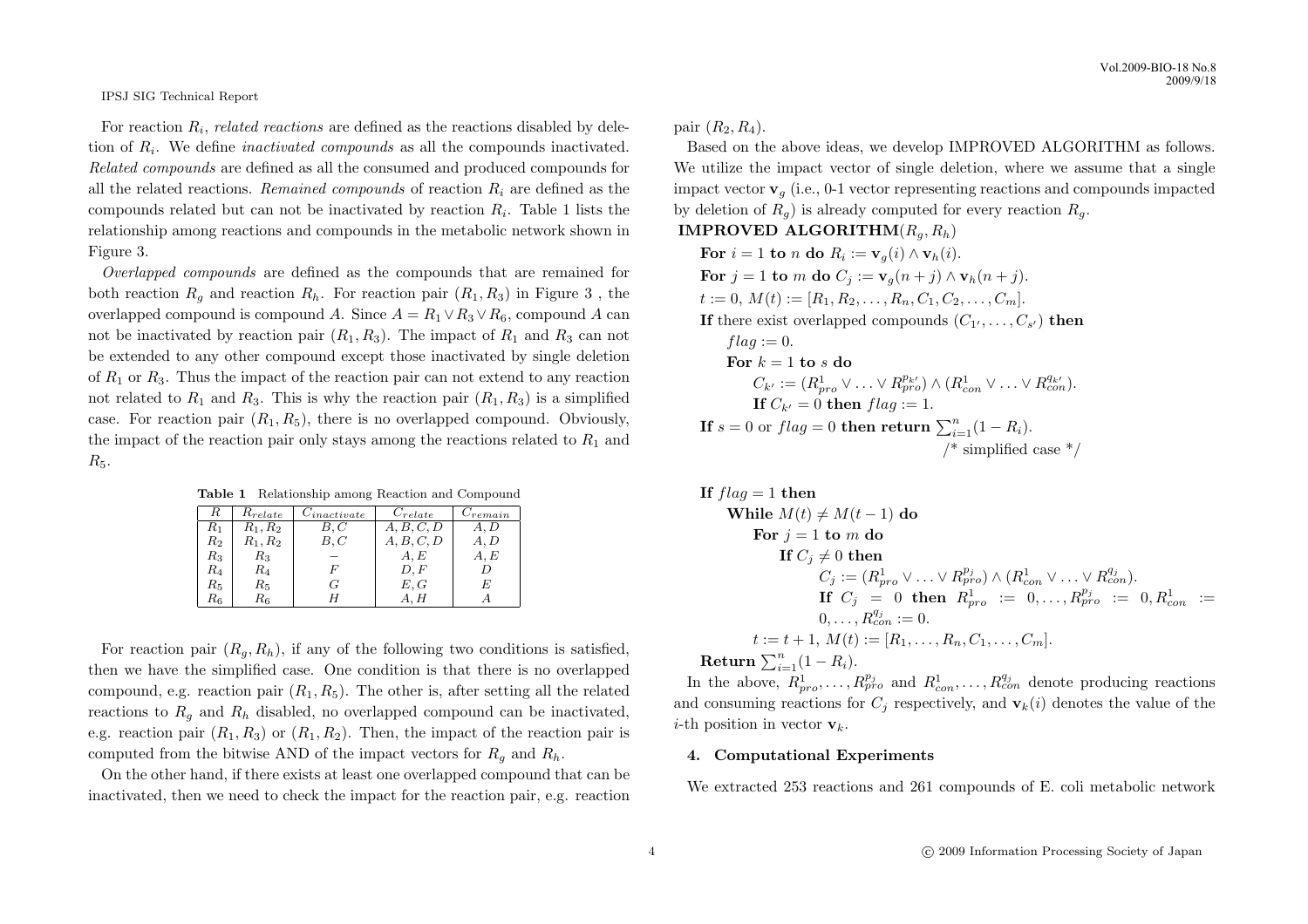For reaction  $R_i$ , related reactions are defined as the reactions disabled by deletion of  $R_i$ . We define *inactivated compounds* as all the compounds inactivated. Related compounds are defined as all the consumed and produced compounds for all the related reactions. Remained compounds of reaction  $R_i$  are defined as the compounds related but can not be inactivated by reaction  $R_i$ . Table 1 lists the relationship among reactions and compounds in the metabolic network shown in Figure 3.

Overlapped compounds are defined as the compounds that are remained for both reaction  $R<sub>g</sub>$  and reaction  $R<sub>h</sub>$ . For reaction pair  $(R<sub>1</sub>, R<sub>3</sub>)$  in Figure 3, the overlapped compound is compound A. Since  $A = R_1 \vee R_3 \vee R_6$ , compound A can not be inactivated by reaction pair  $(R_1, R_3)$ . The impact of  $R_1$  and  $R_3$  can not be extended to any other compound except those inactivated by single deletion of  $R_1$  or  $R_3$ . Thus the impact of the reaction pair can not extend to any reaction not related to  $R_1$  and  $R_3$ . This is why the reaction pair  $(R_1, R_3)$  is a simplified case. For reaction pair  $(R_1, R_5)$ , there is no overlapped compound. Obviously, the impact of the reaction pair only stays among the reactions related to  $R_1$  and  $R_5.$ 

Table 1 Relationship among Reaction and Compound

| R           | $R_{relate}$ | $C_{inactive}$ | $C_{relate}$ | $C_{remain}$ |
|-------------|--------------|----------------|--------------|--------------|
| $R_1$       | $R_1, R_2$   | B,C            | A, B, C, D   | A, D         |
| $R_{\rm 2}$ | $R_1, R_2$   | B, C           | A, B, C, D   | A, D         |
| $R_{3}$     | $R_{3}$      |                | A, E         | A, E         |
| $R_{4}$     | R4           | F              | D, F         |              |
| $R_{\rm 5}$ | $R_{\rm 5}$  | G              | E, G         | E            |
| $R_{\rm 6}$ | $R_{\rm 6}$  |                | A, H         |              |

For reaction pair  $(R_q, R_h)$ , if any of the following two conditions is satisfied. then we have the simplified case. One condition is that there is no overlapped compound, e.g. reaction pair  $(R_1, R_5)$ . The other is, after setting all the related reactions to  $R_q$  and  $R_h$  disabled, no overlapped compound can be inactivated, e.g. reaction pair  $(R_1, R_3)$  or  $(R_1, R_2)$ . Then, the impact of the reaction pair is computed from the bitwise AND of the impact vectors for  $R_q$  and  $R_h$ .

On the other hand, if there exists at least one overlapped compound that can be inactivated, then we need to check the impact for the reaction pair, e.g. reaction

pair  $(R_2, R_4)$ .

Based on the above ideas, we develop IMPROVED ALGORITHM as follows. We utilize the impact vector of single deletion, where we assume that a single impact vector  $\mathbf{v}_q$  (i.e., 0-1 vector representing reactions and compounds impacted by deletion of  $R_q$ ) is already computed for every reaction  $R_q$ .

# IMPROVED ALGORITHM $(R_a, R_h)$

For  $i = 1$  to n do  $R_i := \mathbf{v}_g(i) \wedge \mathbf{v}_h(i)$ . For  $j = 1$  to m do  $C_j := \mathbf{v}_q(n+j) \wedge \mathbf{v}_h(n+j)$ .  $t := 0, M(t) := [R_1, R_2, \ldots, R_n, C_1, C_2, \ldots, C_m].$ If there exist overlapped compounds  $(C_1, \ldots, C_{s'})$  then  $flag := 0.$ For  $k = 1$  to s do  $C_{k'} := (R_{pro}^1 \vee \ldots \vee R_{pro}^{p_{k'}}) \wedge (R_{con}^1 \vee \ldots \vee R_{con}^{q_{k'}}).$ If  $C_{k'} = 0$  then  $flag := 1$ . **If**  $s = 0$  or  $flag = 0$  then return  $\sum_{i=1}^{n} (1 - R_i)$ . /\* simplified case  $*/$ 

If 
$$
flag = 1
$$
 then\n\nWhile  $M(t) \neq M(t-1)$  do\n\nFor  $j = 1$  to  $m$  do\n\nIf  $C_j \neq 0$  then\n\n
$$
C_j := (R_{pro}^1 \vee \ldots \vee R_{pro}^{p_j}) \wedge (R_{con}^1 \vee \ldots \vee R_{con}^{q_j}).
$$
\nIf  $C_j = 0$  then  $R_{pro}^1 := 0, \ldots, R_{pro}^{p_j} := 0, R_{con}^1 := 0, \ldots, R_{con}^1 := 0, \ldots, R_{con}^1 := 0, \ldots, R_{con}^1 := 0, \ldots, R_{con}^1 := [R_1, \ldots, R_n, C_1, \ldots, C_m].$ \n\nReturn  $\sum_{i=1}^n (1 - R_i)$ .

In the above,  $R_{pro}^1, \ldots, R_{pro}^{p_j}$  and  $R_{con}^1, \ldots, R_{con}^{q_j}$  denote producing reactions and consuming reactions for  $C_i$  respectively, and  $\mathbf{v}_k(i)$  denotes the value of the *i*-th position in vector  $\mathbf{v}_k$ .

## 4. Computational Experiments

We extracted 253 reactions and 261 compounds of E. coli metabolic network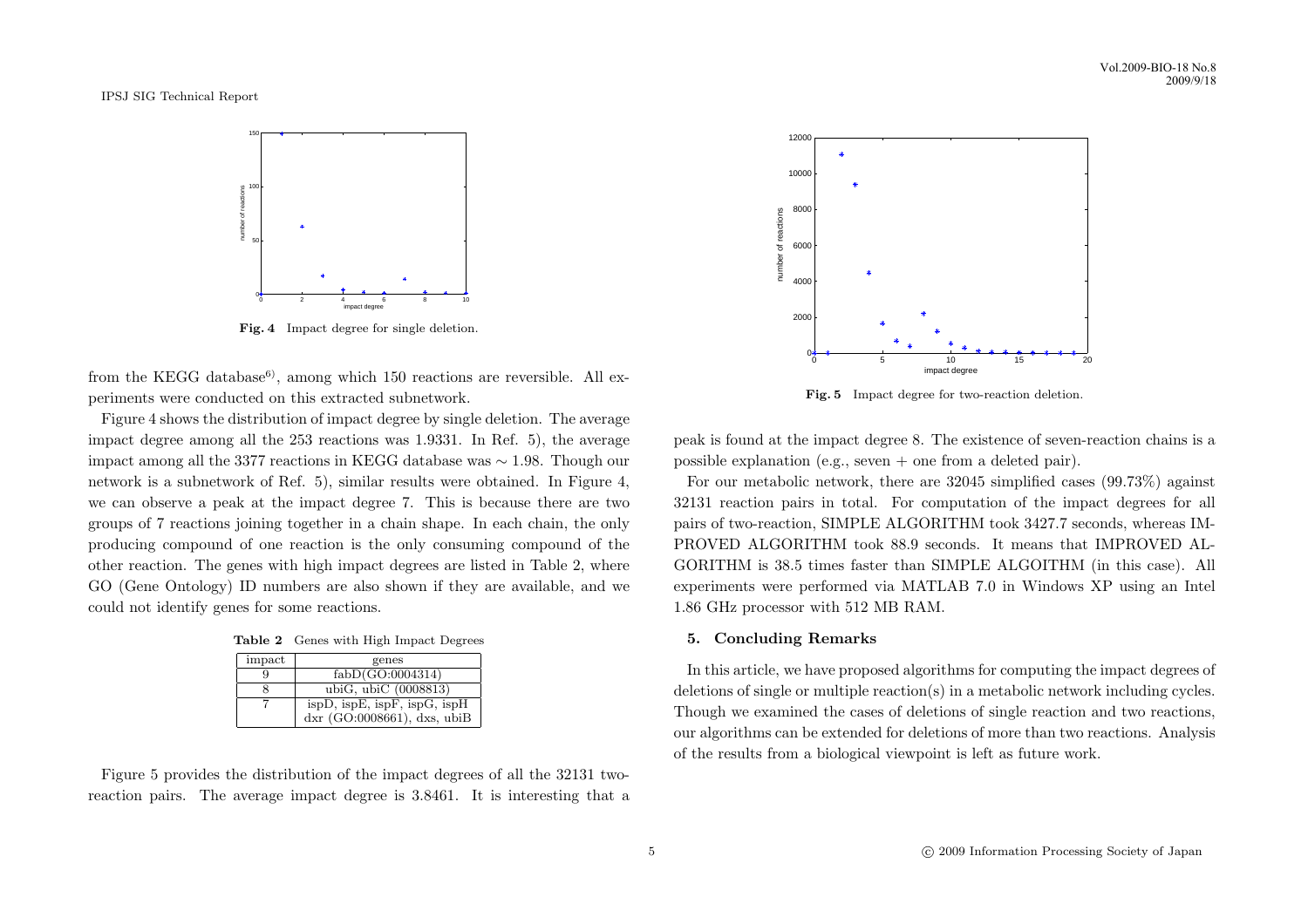

Fig. 4 Impact degree for single deletion.

from the KEGG database<sup>6</sup>, among which 150 reactions are reversible. All experiments were conducted on this extracted subnetwork.

Figure 4 shows the distribution of impact degree by single deletion. The average impact degree among all the 253 reactions was 1.9331. In Ref. 5), the average impact among all the 3377 reactions in KEGG database was ∼ 1.98. Though our network is a subnetwork of Ref. 5), similar results were obtained. In Figure 4, we can observe a peak at the impact degree 7. This is because there are two groups of 7 reactions joining together in a chain shape. In each chain, the only producing compound of one reaction is the only consuming compound of the other reaction. The genes with high impact degrees are listed in Table 2, where GO (Gene Ontology) ID numbers are also shown if they are available, and we could not identify genes for some reactions.

| <b>Table 2</b> Genes with High Impact Degrees |  |  |  |  |  |
|-----------------------------------------------|--|--|--|--|--|
|-----------------------------------------------|--|--|--|--|--|

| impact | genes                          |
|--------|--------------------------------|
|        | fabD(GO:0004314)               |
|        | ubiG, ubiC $(0008813)$         |
|        | ispD, ispE, ispF, ispG, ispH   |
|        | dxr $(GO:0008661)$ , dxs, ubiB |

Figure 5 provides the distribution of the impact degrees of all the 32131 tworeaction pairs. The average impact degree is 3.8461. It is interesting that a



Fig. 5 Impact degree for two-reaction deletion.

peak is found at the impact degree 8. The existence of seven-reaction chains is a possible explanation (e.g., seven + one from a deleted pair).

For our metabolic network, there are 32045 simplified cases (99.73%) against 32131 reaction pairs in total. For computation of the impact degrees for all pairs of two-reaction, SIMPLE ALGORITHM took 3427.7 seconds, whereas IM-PROVED ALGORITHM took 88.9 seconds. It means that IMPROVED AL-GORITHM is 38.5 times faster than SIMPLE ALGOITHM (in this case). All experiments were performed via MATLAB 7.0 in Windows XP using an Intel 1.86 GHz processor with 512 MB RAM.

# 5. Concluding Remarks

In this article, we have proposed algorithms for computing the impact degrees of deletions of single or multiple reaction(s) in a metabolic network including cycles. Though we examined the cases of deletions of single reaction and two reactions, our algorithms can be extended for deletions of more than two reactions. Analysis of the results from a biological viewpoint is left as future work.